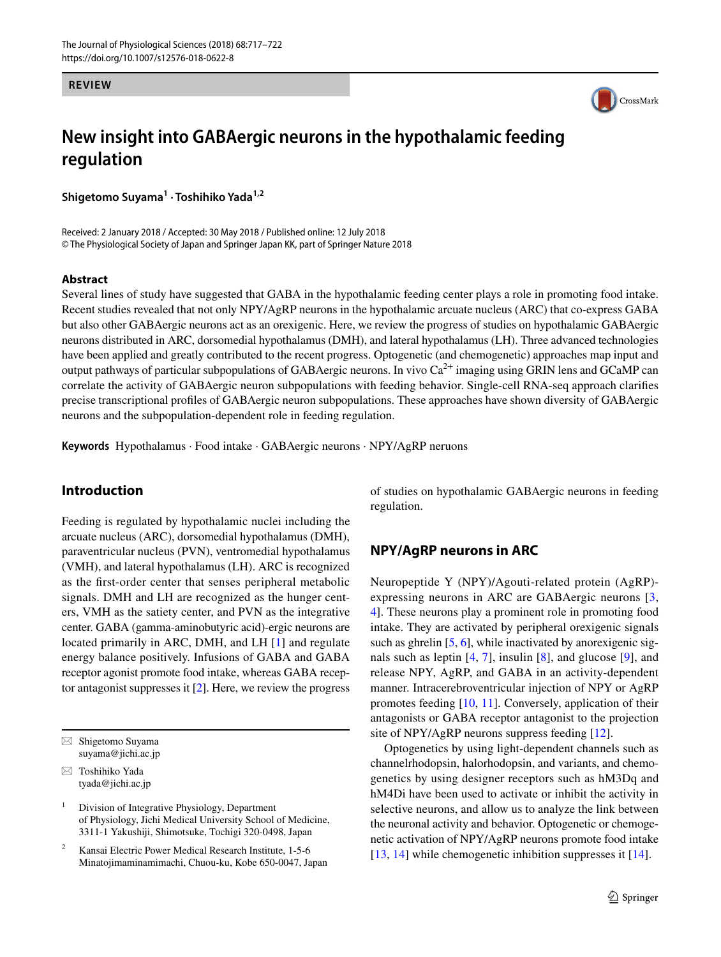#### **REVIEW**



# **New insight into GABAergic neurons in the hypothalamic feeding regulation**

**Shigetomo Suyama<sup>1</sup> · Toshihiko Yada1,2**

Received: 2 January 2018 / Accepted: 30 May 2018 / Published online: 12 July 2018 © The Physiological Society of Japan and Springer Japan KK, part of Springer Nature 2018

#### **Abstract**

Several lines of study have suggested that GABA in the hypothalamic feeding center plays a role in promoting food intake. Recent studies revealed that not only NPY/AgRP neurons in the hypothalamic arcuate nucleus (ARC) that co-express GABA but also other GABAergic neurons act as an orexigenic. Here, we review the progress of studies on hypothalamic GABAergic neurons distributed in ARC, dorsomedial hypothalamus (DMH), and lateral hypothalamus (LH). Three advanced technologies have been applied and greatly contributed to the recent progress. Optogenetic (and chemogenetic) approaches map input and output pathways of particular subpopulations of GABAergic neurons. In vivo  $Ca^{2+}$  imaging using GRIN lens and GCaMP can correlate the activity of GABAergic neuron subpopulations with feeding behavior. Single-cell RNA-seq approach clarifes precise transcriptional profles of GABAergic neuron subpopulations. These approaches have shown diversity of GABAergic neurons and the subpopulation-dependent role in feeding regulation.

**Keywords** Hypothalamus · Food intake · GABAergic neurons · NPY/AgRP neruons

# **Introduction**

Feeding is regulated by hypothalamic nuclei including the arcuate nucleus (ARC), dorsomedial hypothalamus (DMH), paraventricular nucleus (PVN), ventromedial hypothalamus (VMH), and lateral hypothalamus (LH). ARC is recognized as the frst-order center that senses peripheral metabolic signals. DMH and LH are recognized as the hunger centers, VMH as the satiety center, and PVN as the integrative center. GABA (gamma-aminobutyric acid)-ergic neurons are located primarily in ARC, DMH, and LH [\[1\]](#page-3-0) and regulate energy balance positively. Infusions of GABA and GABA receptor agonist promote food intake, whereas GABA receptor antagonist suppresses it [\[2](#page-3-1)]. Here, we review the progress

 $\boxtimes$  Shigetomo Suyama suyama@jichi.ac.jp

 $\boxtimes$  Toshihiko Yada tyada@jichi.ac.jp

<sup>1</sup> Division of Integrative Physiology, Department of Physiology, Jichi Medical University School of Medicine, 3311-1 Yakushiji, Shimotsuke, Tochigi 320-0498, Japan

<sup>2</sup> Kansai Electric Power Medical Research Institute, 1-5-6 Minatojimaminamimachi, Chuou-ku, Kobe 650-0047, Japan of studies on hypothalamic GABAergic neurons in feeding regulation.

# **NPY/AgRP neurons in ARC**

Neuropeptide Y (NPY)/Agouti-related protein (AgRP) expressing neurons in ARC are GABAergic neurons [[3,](#page-4-0) [4](#page-4-1)]. These neurons play a prominent role in promoting food intake. They are activated by peripheral orexigenic signals such as ghrelin [[5,](#page-4-2) [6\]](#page-4-3), while inactivated by anorexigenic signals such as leptin  $[4, 7]$  $[4, 7]$  $[4, 7]$  $[4, 7]$ , insulin  $[8]$  $[8]$ , and glucose  $[9]$  $[9]$ , and release NPY, AgRP, and GABA in an activity-dependent manner. Intracerebroventricular injection of NPY or AgRP promotes feeding [\[10,](#page-4-7) [11](#page-4-8)]. Conversely, application of their antagonists or GABA receptor antagonist to the projection site of NPY/AgRP neurons suppress feeding [[12\]](#page-4-9).

Optogenetics by using light-dependent channels such as channelrhodopsin, halorhodopsin, and variants, and chemogenetics by using designer receptors such as hM3Dq and hM4Di have been used to activate or inhibit the activity in selective neurons, and allow us to analyze the link between the neuronal activity and behavior. Optogenetic or chemogenetic activation of NPY/AgRP neurons promote food intake [[13,](#page-4-10) [14\]](#page-4-11) while chemogenetic inhibition suppresses it [[14\]](#page-4-11).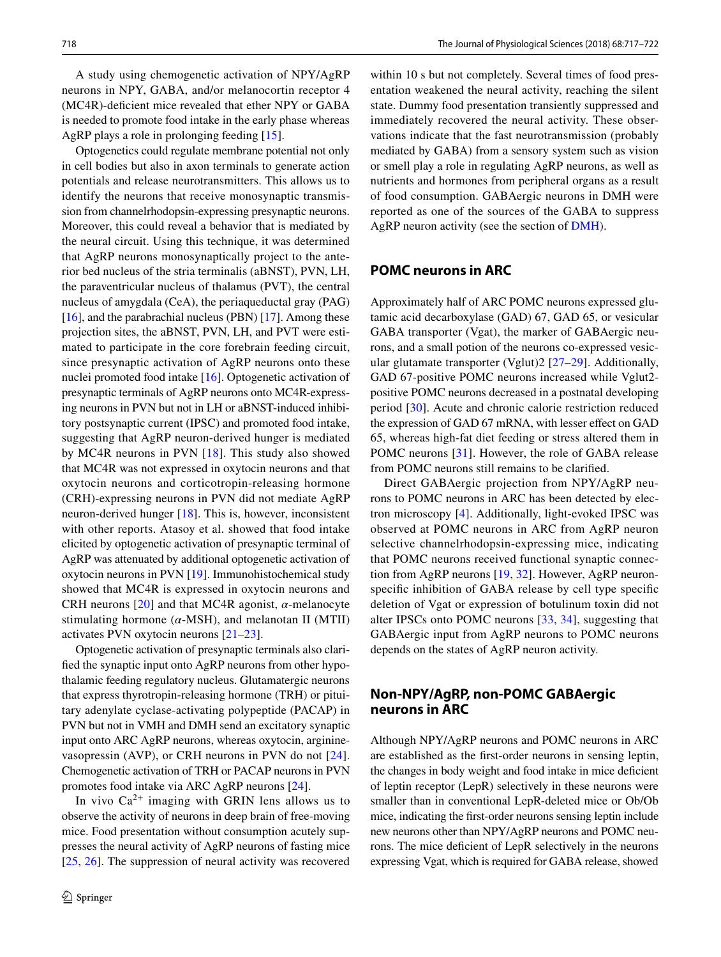A study using chemogenetic activation of NPY/AgRP neurons in NPY, GABA, and/or melanocortin receptor 4 (MC4R)-deficient mice revealed that ether NPY or GABA is needed to promote food intake in the early phase whereas AgRP plays a role in prolonging feeding [\[15](#page-4-12)].

Optogenetics could regulate membrane potential not only in cell bodies but also in axon terminals to generate action potentials and release neurotransmitters. This allows us to identify the neurons that receive monosynaptic transmission from channelrhodopsin-expressing presynaptic neurons. Moreover, this could reveal a behavior that is mediated by the neural circuit. Using this technique, it was determined that AgRP neurons monosynaptically project to the anterior bed nucleus of the stria terminalis (aBNST), PVN, LH, the paraventricular nucleus of thalamus (PVT), the central nucleus of amygdala (CeA), the periaqueductal gray (PAG) [\[16](#page-4-13)], and the parabrachial nucleus (PBN) [[17\]](#page-4-14). Among these projection sites, the aBNST, PVN, LH, and PVT were estimated to participate in the core forebrain feeding circuit, since presynaptic activation of AgRP neurons onto these nuclei promoted food intake [\[16](#page-4-13)]. Optogenetic activation of presynaptic terminals of AgRP neurons onto MC4R-expressing neurons in PVN but not in LH or aBNST-induced inhibitory postsynaptic current (IPSC) and promoted food intake, suggesting that AgRP neuron-derived hunger is mediated by MC4R neurons in PVN [[18](#page-4-15)]. This study also showed that MC4R was not expressed in oxytocin neurons and that oxytocin neurons and corticotropin-releasing hormone (CRH)-expressing neurons in PVN did not mediate AgRP neuron-derived hunger [[18\]](#page-4-15). This is, however, inconsistent with other reports. Atasoy et al. showed that food intake elicited by optogenetic activation of presynaptic terminal of AgRP was attenuated by additional optogenetic activation of oxytocin neurons in PVN [[19\]](#page-4-16). Immunohistochemical study showed that MC4R is expressed in oxytocin neurons and CRH neurons [[20](#page-4-17)] and that MC4R agonist, *α*-melanocyte stimulating hormone  $(\alpha$ -MSH), and melanotan II (MTII) activates PVN oxytocin neurons [[21–](#page-4-18)[23\]](#page-4-19).

Optogenetic activation of presynaptic terminals also clarifed the synaptic input onto AgRP neurons from other hypothalamic feeding regulatory nucleus. Glutamatergic neurons that express thyrotropin-releasing hormone (TRH) or pituitary adenylate cyclase-activating polypeptide (PACAP) in PVN but not in VMH and DMH send an excitatory synaptic input onto ARC AgRP neurons, whereas oxytocin, argininevasopressin (AVP), or CRH neurons in PVN do not [[24](#page-4-20)]. Chemogenetic activation of TRH or PACAP neurons in PVN promotes food intake via ARC AgRP neurons [\[24](#page-4-20)].

In vivo  $Ca^{2+}$  imaging with GRIN lens allows us to observe the activity of neurons in deep brain of free-moving mice. Food presentation without consumption acutely suppresses the neural activity of AgRP neurons of fasting mice [\[25,](#page-4-21) [26](#page-4-22)]. The suppression of neural activity was recovered

within 10 s but not completely. Several times of food presentation weakened the neural activity, reaching the silent state. Dummy food presentation transiently suppressed and immediately recovered the neural activity. These observations indicate that the fast neurotransmission (probably mediated by GABA) from a sensory system such as vision or smell play a role in regulating AgRP neurons, as well as nutrients and hormones from peripheral organs as a result of food consumption. GABAergic neurons in DMH were reported as one of the sources of the GABA to suppress AgRP neuron activity (see the section of [DMH](#page-2-0)).

#### **POMC neurons in ARC**

Approximately half of ARC POMC neurons expressed glutamic acid decarboxylase (GAD) 67, GAD 65, or vesicular GABA transporter (Vgat), the marker of GABAergic neurons, and a small potion of the neurons co-expressed vesicular glutamate transporter (Vglut)2 [[27–](#page-4-23)[29](#page-4-24)]. Additionally, GAD 67-positive POMC neurons increased while Vglut2 positive POMC neurons decreased in a postnatal developing period [[30](#page-4-25)]. Acute and chronic calorie restriction reduced the expression of GAD 67 mRNA, with lesser efect on GAD 65, whereas high-fat diet feeding or stress altered them in POMC neurons [[31](#page-4-26)]. However, the role of GABA release from POMC neurons still remains to be clarifed.

Direct GABAergic projection from NPY/AgRP neurons to POMC neurons in ARC has been detected by electron microscopy [[4\]](#page-4-1). Additionally, light-evoked IPSC was observed at POMC neurons in ARC from AgRP neuron selective channelrhodopsin-expressing mice, indicating that POMC neurons received functional synaptic connection from AgRP neurons [\[19](#page-4-16), [32\]](#page-4-27). However, AgRP neuronspecifc inhibition of GABA release by cell type specifc deletion of Vgat or expression of botulinum toxin did not alter IPSCs onto POMC neurons [\[33,](#page-4-28) [34](#page-4-29)], suggesting that GABAergic input from AgRP neurons to POMC neurons depends on the states of AgRP neuron activity.

### **Non‑NPY/AgRP, non‑POMC GABAergic neurons in ARC**

Although NPY/AgRP neurons and POMC neurons in ARC are established as the frst-order neurons in sensing leptin, the changes in body weight and food intake in mice defcient of leptin receptor (LepR) selectively in these neurons were smaller than in conventional LepR-deleted mice or Ob/Ob mice, indicating the frst-order neurons sensing leptin include new neurons other than NPY/AgRP neurons and POMC neurons. The mice defcient of LepR selectively in the neurons expressing Vgat, which is required for GABA release, showed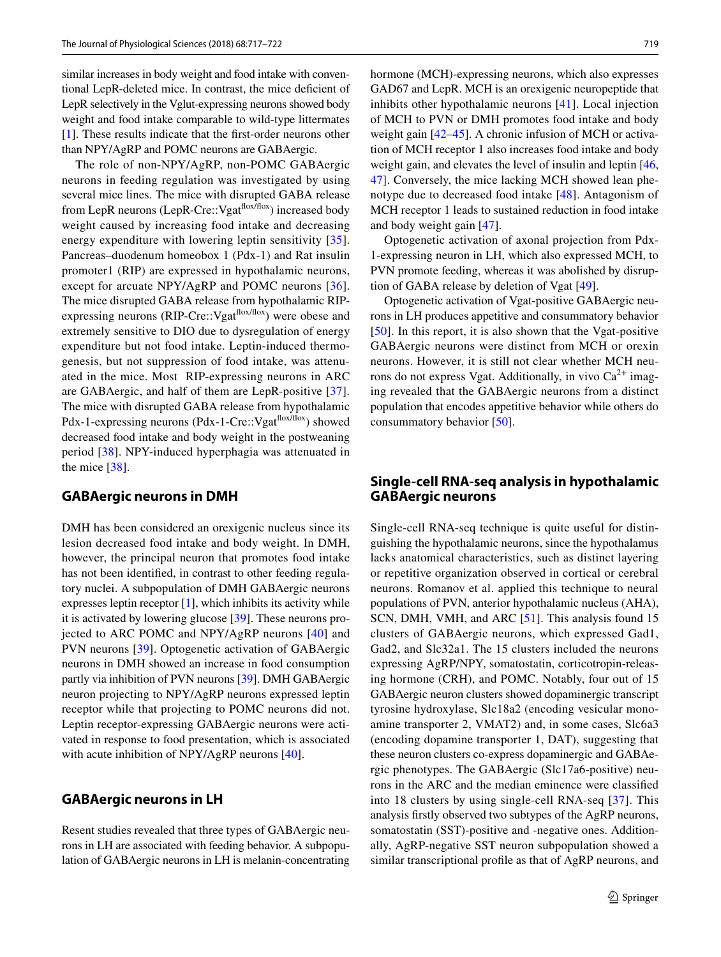similar increases in body weight and food intake with conventional LepR-deleted mice. In contrast, the mice defcient of LepR selectively in the Vglut-expressing neurons showed body weight and food intake comparable to wild-type littermates [\[1](#page-3-0)]. These results indicate that the frst-order neurons other than NPY/AgRP and POMC neurons are GABAergic.

The role of non-NPY/AgRP, non-POMC GABAergic neurons in feeding regulation was investigated by using several mice lines. The mice with disrupted GABA release from LepR neurons (LepR-Cre::Vgat<sup>flox/flox</sup>) increased body weight caused by increasing food intake and decreasing energy expenditure with lowering leptin sensitivity [[35](#page-4-30)]. Pancreas–duodenum homeobox 1 (Pdx-1) and Rat insulin promoter1 (RIP) are expressed in hypothalamic neurons, except for arcuate NPY/AgRP and POMC neurons [[36](#page-4-31)]. The mice disrupted GABA release from hypothalamic RIPexpressing neurons (RIP-Cre::Vgat<sup>flox/flox</sup>) were obese and extremely sensitive to DIO due to dysregulation of energy expenditure but not food intake. Leptin-induced thermogenesis, but not suppression of food intake, was attenuated in the mice. Most RIP-expressing neurons in ARC are GABAergic, and half of them are LepR-positive [[37](#page-5-0)]. The mice with disrupted GABA release from hypothalamic Pdx-1-expressing neurons (Pdx-1-Cre::Vgat<sup>flox/flox</sup>) showed decreased food intake and body weight in the postweaning period [\[38\]](#page-5-1). NPY-induced hyperphagia was attenuated in the mice  $[38]$  $[38]$ .

## <span id="page-2-0"></span>**GABAergic neurons in DMH**

DMH has been considered an orexigenic nucleus since its lesion decreased food intake and body weight. In DMH, however, the principal neuron that promotes food intake has not been identifed, in contrast to other feeding regulatory nuclei. A subpopulation of DMH GABAergic neurons expresses leptin receptor [\[1](#page-3-0)], which inhibits its activity while it is activated by lowering glucose [\[39\]](#page-5-2). These neurons projected to ARC POMC and NPY/AgRP neurons [[40\]](#page-5-3) and PVN neurons [\[39\]](#page-5-2). Optogenetic activation of GABAergic neurons in DMH showed an increase in food consumption partly via inhibition of PVN neurons [\[39](#page-5-2)]. DMH GABAergic neuron projecting to NPY/AgRP neurons expressed leptin receptor while that projecting to POMC neurons did not. Leptin receptor-expressing GABAergic neurons were activated in response to food presentation, which is associated with acute inhibition of NPY/AgRP neurons [[40\]](#page-5-3).

# **GABAergic neurons in LH**

Resent studies revealed that three types of GABAergic neurons in LH are associated with feeding behavior. A subpopulation of GABAergic neurons in LH is melanin-concentrating

hormone (MCH)-expressing neurons, which also expresses GAD67 and LepR. MCH is an orexigenic neuropeptide that inhibits other hypothalamic neurons [\[41\]](#page-5-4). Local injection of MCH to PVN or DMH promotes food intake and body weight gain  $[42-45]$  $[42-45]$  $[42-45]$ . A chronic infusion of MCH or activation of MCH receptor 1 also increases food intake and body weight gain, and elevates the level of insulin and leptin [[46,](#page-5-7) [47](#page-5-8)]. Conversely, the mice lacking MCH showed lean phenotype due to decreased food intake [[48](#page-5-9)]. Antagonism of MCH receptor 1 leads to sustained reduction in food intake and body weight gain [[47\]](#page-5-8).

Optogenetic activation of axonal projection from Pdx-1-expressing neuron in LH, which also expressed MCH, to PVN promote feeding, whereas it was abolished by disruption of GABA release by deletion of Vgat [[49](#page-5-10)].

Optogenetic activation of Vgat-positive GABAergic neurons in LH produces appetitive and consummatory behavior [[50\]](#page-5-11). In this report, it is also shown that the Vgat-positive GABAergic neurons were distinct from MCH or orexin neurons. However, it is still not clear whether MCH neurons do not express Vgat. Additionally, in vivo  $Ca^{2+}$  imaging revealed that the GABAergic neurons from a distinct population that encodes appetitive behavior while others do consummatory behavior [[50\]](#page-5-11).

# **Single‑cell RNA‑seq analysis in hypothalamic GABAergic neurons**

Single-cell RNA-seq technique is quite useful for distinguishing the hypothalamic neurons, since the hypothalamus lacks anatomical characteristics, such as distinct layering or repetitive organization observed in cortical or cerebral neurons. Romanov et al. applied this technique to neural populations of PVN, anterior hypothalamic nucleus (AHA), SCN, DMH, VMH, and ARC [\[51](#page-5-12)]. This analysis found 15 clusters of GABAergic neurons, which expressed Gad1, Gad2, and Slc32a1. The 15 clusters included the neurons expressing AgRP/NPY, somatostatin, corticotropin-releasing hormone (CRH), and POMC. Notably, four out of 15 GABAergic neuron clusters showed dopaminergic transcript tyrosine hydroxylase, Slc18a2 (encoding vesicular monoamine transporter 2, VMAT2) and, in some cases, Slc6a3 (encoding dopamine transporter 1, DAT), suggesting that these neuron clusters co-express dopaminergic and GABAergic phenotypes. The GABAergic (Slc17a6-positive) neurons in the ARC and the median eminence were classifed into 18 clusters by using single-cell RNA-seq [[37](#page-5-0)]. This analysis frstly observed two subtypes of the AgRP neurons, somatostatin (SST)-positive and -negative ones. Additionally, AgRP-negative SST neuron subpopulation showed a similar transcriptional profle as that of AgRP neurons, and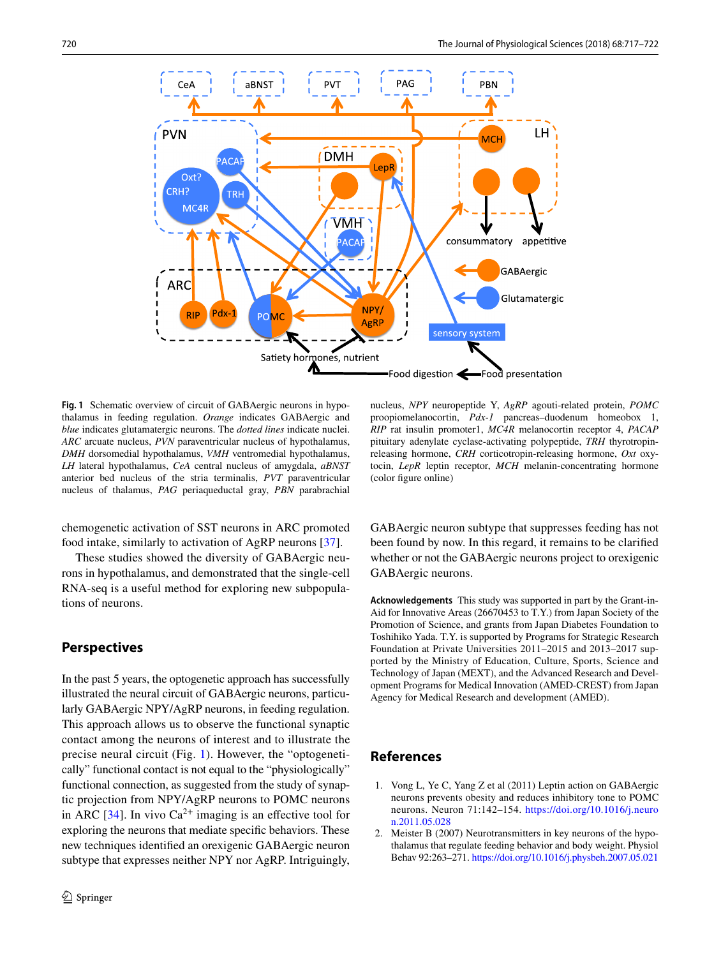

<span id="page-3-2"></span>**Fig. 1** Schematic overview of circuit of GABAergic neurons in hypothalamus in feeding regulation. *Orange* indicates GABAergic and *blue* indicates glutamatergic neurons. The *dotted lines* indicate nuclei. *ARC* arcuate nucleus, *PVN* paraventricular nucleus of hypothalamus, *DMH* dorsomedial hypothalamus, *VMH* ventromedial hypothalamus, *LH* lateral hypothalamus, *CeA* central nucleus of amygdala, *aBNST* anterior bed nucleus of the stria terminalis, *PVT* paraventricular nucleus of thalamus, *PAG* periaqueductal gray, *PBN* parabrachial

chemogenetic activation of SST neurons in ARC promoted food intake, similarly to activation of AgRP neurons [[37\]](#page-5-0).

These studies showed the diversity of GABAergic neurons in hypothalamus, and demonstrated that the single-cell RNA-seq is a useful method for exploring new subpopulations of neurons.

# **Perspectives**

In the past 5 years, the optogenetic approach has successfully illustrated the neural circuit of GABAergic neurons, particularly GABAergic NPY/AgRP neurons, in feeding regulation. This approach allows us to observe the functional synaptic contact among the neurons of interest and to illustrate the precise neural circuit (Fig. [1](#page-3-2)). However, the "optogenetically" functional contact is not equal to the "physiologically" functional connection, as suggested from the study of synaptic projection from NPY/AgRP neurons to POMC neurons in ARC [[34\]](#page-4-29). In vivo  $Ca^{2+}$  imaging is an effective tool for exploring the neurons that mediate specifc behaviors. These new techniques identifed an orexigenic GABAergic neuron subtype that expresses neither NPY nor AgRP. Intriguingly,

nucleus, *NPY* neuropeptide Y, *AgRP* agouti-related protein, *POMC* proopiomelanocortin, *Pdx-1* pancreas–duodenum homeobox 1, *RIP* rat insulin promoter1, *MC4R* melanocortin receptor 4, *PACAP* pituitary adenylate cyclase-activating polypeptide, *TRH* thyrotropinreleasing hormone, *CRH* corticotropin-releasing hormone, *Oxt* oxytocin, *LepR* leptin receptor, *MCH* melanin-concentrating hormone (color fgure online)

GABAergic neuron subtype that suppresses feeding has not been found by now. In this regard, it remains to be clarifed whether or not the GABAergic neurons project to orexigenic GABAergic neurons.

**Acknowledgements** This study was supported in part by the Grant-in-Aid for Innovative Areas (26670453 to T.Y.) from Japan Society of the Promotion of Science, and grants from Japan Diabetes Foundation to Toshihiko Yada. T.Y. is supported by Programs for Strategic Research Foundation at Private Universities 2011–2015 and 2013–2017 supported by the Ministry of Education, Culture, Sports, Science and Technology of Japan (MEXT), and the Advanced Research and Development Programs for Medical Innovation (AMED-CREST) from Japan Agency for Medical Research and development (AMED).

# **References**

- <span id="page-3-0"></span>1. Vong L, Ye C, Yang Z et al (2011) Leptin action on GABAergic neurons prevents obesity and reduces inhibitory tone to POMC neurons. Neuron 71:142–154. [https://doi.org/10.1016/j.neuro](https://doi.org/10.1016/j.neuron.2011.05.028) [n.2011.05.028](https://doi.org/10.1016/j.neuron.2011.05.028)
- <span id="page-3-1"></span>2. Meister B (2007) Neurotransmitters in key neurons of the hypothalamus that regulate feeding behavior and body weight. Physiol Behav 92:263–271.<https://doi.org/10.1016/j.physbeh.2007.05.021>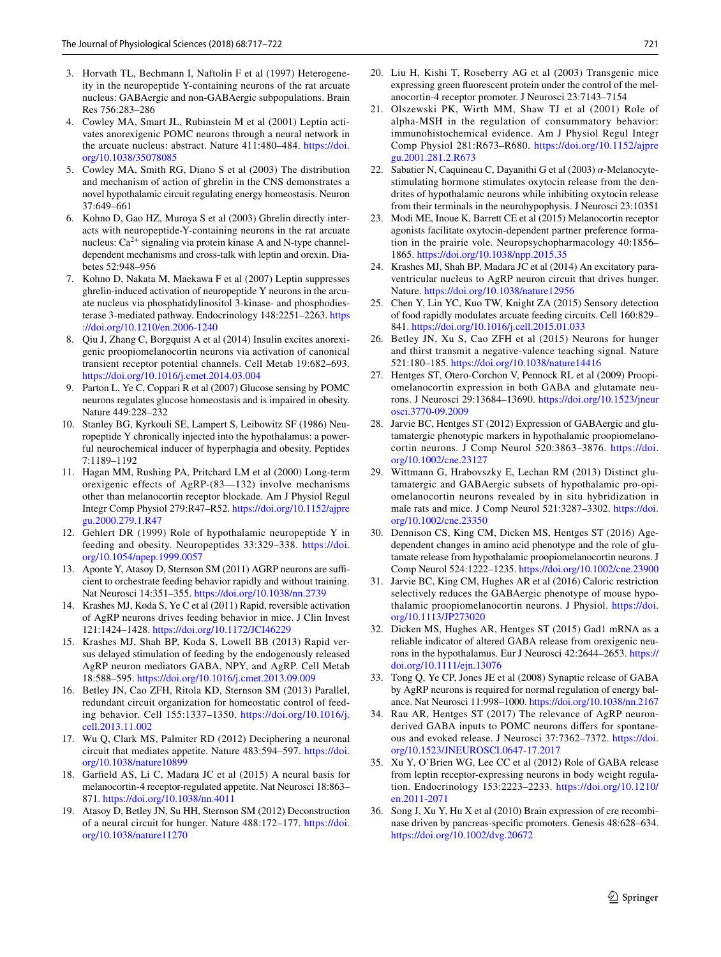- <span id="page-4-1"></span><span id="page-4-0"></span>4. Cowley MA, Smart JL, Rubinstein M et al (2001) Leptin activates anorexigenic POMC neurons through a neural network in the arcuate nucleus: abstract. Nature 411:480–484. [https://doi.](https://doi.org/10.1038/35078085) [org/10.1038/35078085](https://doi.org/10.1038/35078085)
- <span id="page-4-2"></span>5. Cowley MA, Smith RG, Diano S et al (2003) The distribution and mechanism of action of ghrelin in the CNS demonstrates a novel hypothalamic circuit regulating energy homeostasis. Neuron 37:649–661
- <span id="page-4-3"></span>6. Kohno D, Gao HZ, Muroya S et al (2003) Ghrelin directly interacts with neuropeptide-Y-containing neurons in the rat arcuate nucleus:  $Ca^{2+}$  signaling via protein kinase A and N-type channeldependent mechanisms and cross-talk with leptin and orexin. Diabetes 52:948–956
- <span id="page-4-4"></span>7. Kohno D, Nakata M, Maekawa F et al (2007) Leptin suppresses ghrelin-induced activation of neuropeptide Y neurons in the arcuate nucleus via phosphatidylinositol 3-kinase- and phosphodiesterase 3-mediated pathway. Endocrinology 148:2251–2263. [https](https://doi.org/10.1210/en.2006-1240) [://doi.org/10.1210/en.2006-1240](https://doi.org/10.1210/en.2006-1240)
- <span id="page-4-5"></span>8. Qiu J, Zhang C, Borgquist A et al (2014) Insulin excites anorexigenic proopiomelanocortin neurons via activation of canonical transient receptor potential channels. Cell Metab 19:682–693. <https://doi.org/10.1016/j.cmet.2014.03.004>
- <span id="page-4-6"></span>9. Parton L, Ye C, Coppari R et al (2007) Glucose sensing by POMC neurons regulates glucose homeostasis and is impaired in obesity. Nature 449:228–232
- <span id="page-4-7"></span>10. Stanley BG, Kyrkouli SE, Lampert S, Leibowitz SF (1986) Neuropeptide Y chronically injected into the hypothalamus: a powerful neurochemical inducer of hyperphagia and obesity. Peptides 7:1189–1192
- <span id="page-4-8"></span>11. Hagan MM, Rushing PA, Pritchard LM et al (2000) Long-term orexigenic effects of AgRP-(83—132) involve mechanisms other than melanocortin receptor blockade. Am J Physiol Regul Integr Comp Physiol 279:R47–R52. [https://doi.org/10.1152/ajpre](https://doi.org/10.1152/ajpregu.2000.279.1.R47) [gu.2000.279.1.R47](https://doi.org/10.1152/ajpregu.2000.279.1.R47)
- <span id="page-4-9"></span>12. Gehlert DR (1999) Role of hypothalamic neuropeptide Y in feeding and obesity. Neuropeptides 33:329–338. [https://doi.](https://doi.org/10.1054/npep.1999.0057) [org/10.1054/npep.1999.0057](https://doi.org/10.1054/npep.1999.0057)
- <span id="page-4-10"></span>13. Aponte Y, Atasoy D, Sternson SM (2011) AGRP neurons are sufficient to orchestrate feeding behavior rapidly and without training. Nat Neurosci 14:351–355. <https://doi.org/10.1038/nn.2739>
- <span id="page-4-11"></span>14. Krashes MJ, Koda S, Ye C et al (2011) Rapid, reversible activation of AgRP neurons drives feeding behavior in mice. J Clin Invest 121:1424–1428.<https://doi.org/10.1172/JCI46229>
- <span id="page-4-12"></span>15. Krashes MJ, Shah BP, Koda S, Lowell BB (2013) Rapid versus delayed stimulation of feeding by the endogenously released AgRP neuron mediators GABA, NPY, and AgRP. Cell Metab 18:588–595.<https://doi.org/10.1016/j.cmet.2013.09.009>
- <span id="page-4-13"></span>16. Betley JN, Cao ZFH, Ritola KD, Sternson SM (2013) Parallel, redundant circuit organization for homeostatic control of feeding behavior. Cell 155:1337–1350. [https://doi.org/10.1016/j.](https://doi.org/10.1016/j.cell.2013.11.002) [cell.2013.11.002](https://doi.org/10.1016/j.cell.2013.11.002)
- <span id="page-4-14"></span>17. Wu Q, Clark MS, Palmiter RD (2012) Deciphering a neuronal circuit that mediates appetite. Nature 483:594–597. [https://doi.](https://doi.org/10.1038/nature10899) [org/10.1038/nature10899](https://doi.org/10.1038/nature10899)
- <span id="page-4-15"></span>18. Garfeld AS, Li C, Madara JC et al (2015) A neural basis for melanocortin-4 receptor-regulated appetite. Nat Neurosci 18:863– 871.<https://doi.org/10.1038/nn.4011>
- <span id="page-4-16"></span>19. Atasoy D, Betley JN, Su HH, Sternson SM (2012) Deconstruction of a neural circuit for hunger. Nature 488:172–177. [https://doi.](https://doi.org/10.1038/nature11270) [org/10.1038/nature11270](https://doi.org/10.1038/nature11270)
- <span id="page-4-17"></span>20. Liu H, Kishi T, Roseberry AG et al (2003) Transgenic mice expressing green fuorescent protein under the control of the melanocortin-4 receptor promoter. J Neurosci 23:7143–7154
- <span id="page-4-18"></span>21. Olszewski PK, Wirth MM, Shaw TJ et al (2001) Role of alpha-MSH in the regulation of consummatory behavior: immunohistochemical evidence. Am J Physiol Regul Integr Comp Physiol 281:R673–R680. [https://doi.org/10.1152/ajpre](https://doi.org/10.1152/ajpregu.2001.281.2.R673) [gu.2001.281.2.R673](https://doi.org/10.1152/ajpregu.2001.281.2.R673)
- 22. Sabatier N, Caquineau C, Dayanithi G et al (2003) *α*-Melanocytestimulating hormone stimulates oxytocin release from the dendrites of hypothalamic neurons while inhibiting oxytocin release from their terminals in the neurohypophysis. J Neurosci 23:10351
- <span id="page-4-19"></span>23. Modi ME, Inoue K, Barrett CE et al (2015) Melanocortin receptor agonists facilitate oxytocin-dependent partner preference formation in the prairie vole. Neuropsychopharmacology 40:1856– 1865. <https://doi.org/10.1038/npp.2015.35>
- <span id="page-4-20"></span>24. Krashes MJ, Shah BP, Madara JC et al (2014) An excitatory paraventricular nucleus to AgRP neuron circuit that drives hunger. Nature. <https://doi.org/10.1038/nature12956>
- <span id="page-4-21"></span>25. Chen Y, Lin YC, Kuo TW, Knight ZA (2015) Sensory detection of food rapidly modulates arcuate feeding circuits. Cell 160:829– 841.<https://doi.org/10.1016/j.cell.2015.01.033>
- <span id="page-4-22"></span>26. Betley JN, Xu S, Cao ZFH et al (2015) Neurons for hunger and thirst transmit a negative-valence teaching signal. Nature 521:180–185. <https://doi.org/10.1038/nature14416>
- <span id="page-4-23"></span>27. Hentges ST, Otero-Corchon V, Pennock RL et al (2009) Proopiomelanocortin expression in both GABA and glutamate neurons. J Neurosci 29:13684–13690. [https://doi.org/10.1523/jneur](https://doi.org/10.1523/jneurosci.3770-09.2009) [osci.3770-09.2009](https://doi.org/10.1523/jneurosci.3770-09.2009)
- 28. Jarvie BC, Hentges ST (2012) Expression of GABAergic and glutamatergic phenotypic markers in hypothalamic proopiomelanocortin neurons. J Comp Neurol 520:3863–3876. [https://doi.](https://doi.org/10.1002/cne.23127) [org/10.1002/cne.23127](https://doi.org/10.1002/cne.23127)
- <span id="page-4-24"></span>29. Wittmann G, Hrabovszky E, Lechan RM (2013) Distinct glutamatergic and GABAergic subsets of hypothalamic pro-opiomelanocortin neurons revealed by in situ hybridization in male rats and mice. J Comp Neurol 521:3287–3302. [https://doi.](https://doi.org/10.1002/cne.23350) [org/10.1002/cne.23350](https://doi.org/10.1002/cne.23350)
- <span id="page-4-25"></span>30. Dennison CS, King CM, Dicken MS, Hentges ST (2016) Agedependent changes in amino acid phenotype and the role of glutamate release from hypothalamic proopiomelanocortin neurons. J Comp Neurol 524:1222–1235.<https://doi.org/10.1002/cne.23900>
- <span id="page-4-26"></span>31. Jarvie BC, King CM, Hughes AR et al (2016) Caloric restriction selectively reduces the GABAergic phenotype of mouse hypothalamic proopiomelanocortin neurons. J Physiol. [https://doi.](https://doi.org/10.1113/JP273020) [org/10.1113/JP273020](https://doi.org/10.1113/JP273020)
- <span id="page-4-27"></span>32. Dicken MS, Hughes AR, Hentges ST (2015) Gad1 mRNA as a reliable indicator of altered GABA release from orexigenic neurons in the hypothalamus. Eur J Neurosci 42:2644–2653. [https://](https://doi.org/10.1111/ejn.13076) [doi.org/10.1111/ejn.13076](https://doi.org/10.1111/ejn.13076)
- <span id="page-4-28"></span>33. Tong Q, Ye CP, Jones JE et al (2008) Synaptic release of GABA by AgRP neurons is required for normal regulation of energy balance. Nat Neurosci 11:998–1000.<https://doi.org/10.1038/nn.2167>
- <span id="page-4-29"></span>34. Rau AR, Hentges ST (2017) The relevance of AgRP neuronderived GABA inputs to POMC neurons difers for spontaneous and evoked release. J Neurosci 37:7362–7372. [https://doi.](https://doi.org/10.1523/JNEUROSCI.0647-17.2017) [org/10.1523/JNEUROSCI.0647-17.2017](https://doi.org/10.1523/JNEUROSCI.0647-17.2017)
- <span id="page-4-30"></span>35. Xu Y, O'Brien WG, Lee CC et al (2012) Role of GABA release from leptin receptor-expressing neurons in body weight regulation. Endocrinology 153:2223–2233. [https://doi.org/10.1210/](https://doi.org/10.1210/en.2011-2071) [en.2011-2071](https://doi.org/10.1210/en.2011-2071)
- <span id="page-4-31"></span>36. Song J, Xu Y, Hu X et al (2010) Brain expression of cre recombinase driven by pancreas-specifc promoters. Genesis 48:628–634. <https://doi.org/10.1002/dvg.20672>